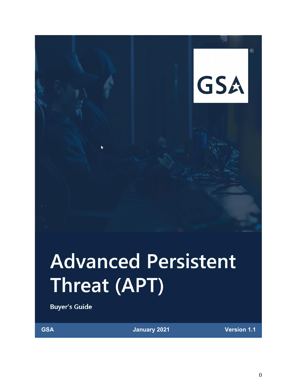

 $^{\circledR}$ 

# **Advanced Persistent** Threat (APT)

**Buyer's Guide** 

 $\lambda$ 

**GSA January 2021 Version 1.1**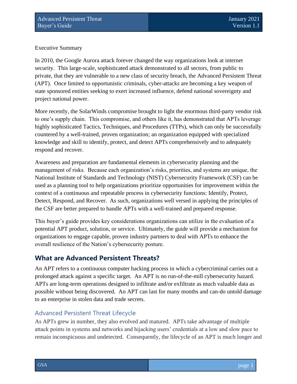#### Executive Summary

In 2010, the Google Aurora attack forever changed the way organizations look at internet security. This large-scale, sophisticated attack demonstrated to all sectors, from public to private, that they are vulnerable to a new class of security breach, the Advanced Persistent Threat (APT). Once limited to opportunistic criminals, cyber-attacks are becoming a key weapon of state sponsored entities seeking to exert increased influence, defend national sovereignty and project national power.

More recently, the SolarWinds compromise brought to light the enormous third-party vendor risk to one's supply chain. This compromise, and others like it, has demonstrated that APTs leverage highly sophisticated Tactics, Techniques, and Procedures (TTPs), which can only be successfully countered by a well-trained, proven organization; an organization equipped with specialized knowledge and skill to identify, protect, and detect APTs comprehensively and to adequately respond and recover.

Awareness and preparation are fundamental elements in cybersecurity planning and the management of risks. Because each organization's risks, priorities, and systems are unique, the National Institute of Standards and Technology (NIST) Cybersecurity Framework (CSF) can be used as a planning tool to help organizations prioritize opportunities for improvement within the context of a continuous and repeatable process in cybersecurity functions: Identify, Protect, Detect, Respond, and Recover. As such, organizations well versed in applying the principles of the CSF are better prepared to handle APTs with a well-trained and prepared response.

This buyer's guide provides key considerations organizations can utilize in the evaluation of a potential APT product, solution, or service. Ultimately, the guide will provide a mechanism for organizations to engage capable, proven industry partners to deal with APTs to enhance the overall resilience of the Nation's cybersecurity posture.

# **What are Advanced Persistent Threats?**

An APT refers to a continuous computer hacking process in which a cybercriminal carries out a prolonged attack against a specific target. An APT is no run-of-the-mill cybersecurity hazard. APTs are long-term operations designed to infiltrate and/or exfiltrate as much valuable data as possible without being discovered. An APT can last for many months and can-do untold damage to an enterprise in stolen data and trade secrets.

#### Advanced Persistent Threat Lifecycle

As APTs grew in number, they also evolved and matured. APTs take advantage of multiple attack points in systems and networks and hijacking users' credentials at a low and slow pace to remain inconspicuous and undetected. Consequently, the lifecycle of an APT is much longer and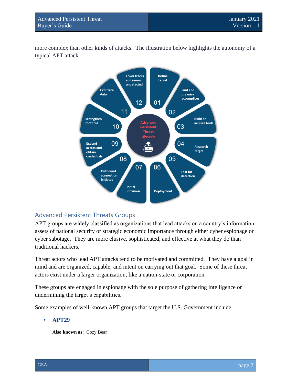more complex than other kinds of attacks. The illustration below highlights the autonomy of a typical APT attack.



#### Advanced Persistent Threats Groups

APT groups are widely classified as organizations that lead attacks on a country's information assets of national security or strategic economic importance through either cyber espionage or cyber sabotage. They are more elusive, sophisticated, and effective at what they do than traditional hackers.

Threat actors who lead APT attacks tend to be motivated and committed. They have a goal in mind and are organized, capable, and intent on carrying out that goal. Some of these threat actors exist under a larger organization, like a nation-state or corporation.

These groups are engaged in espionage with the sole purpose of gathering intelligence or undermining the target's capabilities.

Some examples of well-known APT groups that target the U.S. Government include:

#### ▪ **APT29**

**Also known as:** Cozy Bear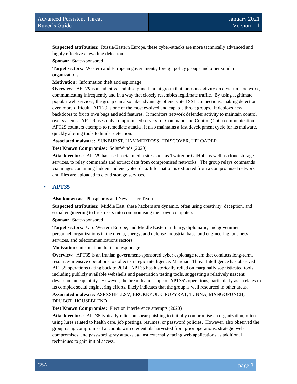**Suspected attribution:** Russia/Eastern Europe, these cyber-attacks are more technically advanced and highly effective at evading detection.

**Sponsor:** State-sponsored

**Target sectors:** Western and European governments, foreign policy groups and other similar organizations

**Motivation:** Information theft and espionage

**Overview:** APT29 is an adaptive and disciplined threat group that hides its activity on a victim's network, communicating infrequently and in a way that closely resembles legitimate traffic. By using legitimate popular web services, the group can also take advantage of encrypted SSL connections, making detection even more difficult. APT29 is one of the most evolved and capable threat groups. It deploys new backdoors to fix its own bugs and add features. It monitors network defender activity to maintain control over systems. APT29 uses only compromised servers for Command and Control (CnC) communication. APT29 counters attempts to remediate attacks. It also maintains a fast development cycle for its malware, quickly altering tools to hinder detection.

#### **Associated malware:** SUNBURST, HAMMERTOSS, TDISCOVER, UPLOADER

**Best Known Compromise:** SolarWinds (2020)

**Attack vectors:** APT29 has used social media sites such as Twitter or GitHub, as well as cloud storage services, to relay commands and extract data from compromised networks. The group relays commands via images containing hidden and encrypted data. Information is extracted from a compromised network and files are uploaded to cloud storage services.

#### ▪ **APT35**

**Also known as:** Phosphoros and Newscaster Team

**Suspected attribution:** Middle East, these hackers are dynamic, often using creativity, deception, and social engineering to trick users into compromising their own computers

**Sponsor:** State-sponsored

**Target sectors:** U.S. Western Europe, and Middle Eastern military, diplomatic, and government personnel, organizations in the media, energy, and defense Industrial base, and engineering, business services, and telecommunications sectors

**Motivation:** Information theft and espionage

**Overview:** APT35 is an Iranian government-sponsored cyber espionage team that conducts long-term, resource-intensive operations to collect strategic intelligence. Mandiant Threat Intelligence has observed APT35 operations dating back to 2014. APT35 has historically relied on marginally sophisticated tools, including publicly available webshells and penetration testing tools, suggesting a relatively nascent development capability. However, the breadth and scope of APT35's operations, particularly as it relates to its complex social engineering efforts, likely indicates that the group is well resourced in other areas. **Associated malware:** ASPXSHELLSV, BROKEYOLK, PUPYRAT, TUNNA, MANGOPUNCH, DRUBOT, HOUSEBLEND

**Best Known Compromise:** Election interference attempts (2020)

**Attack vectors:** APT35 typically relies on spear phishing to initially compromise an organization, often using lures related to health care, job postings, resumes, or password policies. However, also observed the group using compromised accounts with credentials harvested from prior operations, strategic web compromises, and password spray attacks against externally facing web applications as additional techniques to gain initial access.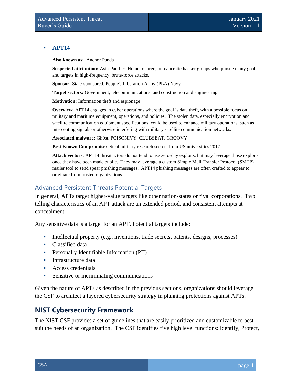#### ▪ **APT14**

**Also known as:** Anchor Panda

**Suspected attribution:** Asia-Pacific: Home to large, bureaucratic hacker groups who pursue many goals and targets in high-frequency, brute-force attacks.

**Sponsor:** State-sponsored, People's Liberation Army (PLA) Navy

**Target sectors:** Government, telecommunications, and construction and engineering.

**Motivation:** Information theft and espionage

**Overview:** APT14 engages in cyber operations where the goal is data theft, with a possible focus on military and maritime equipment, operations, and policies. The stolen data, especially encryption and satellite communication equipment specifications, could be used to enhance military operations, such as intercepting signals or otherwise interfering with military satellite communication networks.

**Associated malware:** Gh0st, POISONIVY, CLUBSEAT, GROOVY

**Best Known Compromise:** Steal military research secrets from US universities 2017

**Attack vectors:** APT14 threat actors do not tend to use zero-day exploits, but may leverage those exploits once they have been made public. They may leverage a custom Simple Mail Transfer Protocol (SMTP) mailer tool to send spear phishing messages. APT14 phishing messages are often crafted to appear to originate from trusted organizations.

### Advanced Persistent Threats Potential Targets

In general, APTs target higher-value targets like other nation-states or rival corporations. Two telling characteristics of an APT attack are an extended period, and consistent attempts at concealment.

Any sensitive data is a target for an APT. Potential targets include:

- Intellectual property (e.g., inventions, trade secrets, patents, designs, processes)
- Classified data
- Personally Identifiable Information (PII)
- **•** Infrastructure data
- Access credentials
- Sensitive or incriminating communications

Given the nature of APTs as described in the previous sections, organizations should leverage the CSF to architect a layered cybersecurity strategy in planning protections against APTs.

# **NIST Cybersecurity Framework**

The NIST CSF provides a set of guidelines that are easily prioritized and customizable to best suit the needs of an organization. The CSF identifies five high level functions: Identify, Protect,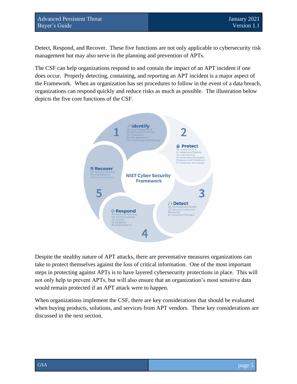Detect, Respond, and Recover. These five functions are not only applicable to cybersecurity risk management but may also serve in the planning and prevention of APTs.

The CSF can help organizations respond to and contain the impact of an APT incident if one does occur. Properly detecting, containing, and reporting an APT incident is a major aspect of the Framework. When an organization has set procedures to follow in the event of a data breach, organizations can respond quickly and reduce risks as much as possible. The illustration below depicts the five core functions of the CSF.



Despite the stealthy nature of APT attacks, there are preventative measures organizations can take to protect themselves against the loss of critical information. One of the most important steps in protecting against APTs is to have layered cybersecurity protections in place. This will not only help to prevent APTs, but will also ensure that an organization's most sensitive data would remain protected if an APT attack were to happen.

When organizations implement the CSF, there are key considerations that should be evaluated when buying products, solutions, and services from APT vendors. These key considerations are discussed in the next section.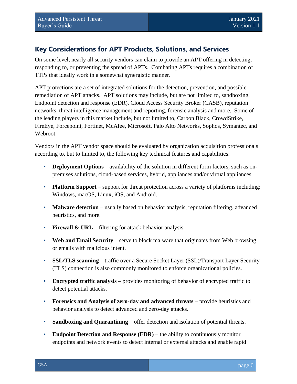# **Key Considerations for APT Products, Solutions, and Services**

On some level, nearly all security vendors can claim to provide an APT offering in detecting, responding to, or preventing the spread of APTs. Combating APTs requires a combination of TTPs that ideally work in a somewhat synergistic manner.

APT protections are a set of integrated solutions for the detection, prevention, and possible remediation of APT attacks. APT solutions may include, but are not limited to, sandboxing, Endpoint detection and response (EDR), Cloud Access Security Broker (CASB), reputation networks, threat intelligence management and reporting, forensic analysis and more. Some of the leading players in this market include, but not limited to, Carbon Black, CrowdStrike, FireEye, Forcepoint, Fortinet, McAfee, Microsoft, Palo Alto Networks, Sophos, Symantec, and Webroot.

Vendors in the APT vendor space should be evaluated by organization acquisition professionals according to, but to limited to, the following key technical features and capabilities:

- **Deployment Options** availability of the solution in different form factors, such as onpremises solutions, cloud-based services, hybrid, appliances and/or virtual appliances.
- **Platform Support** support for threat protection across a variety of platforms including: Windows, macOS, Linux, iOS, and Android.
- **Malware detection** usually based on behavior analysis, reputation filtering, advanced heuristics, and more.
- **Firewall & URL** filtering for attack behavior analysis.
- **Web and Email Security** serve to block malware that originates from Web browsing or emails with malicious intent.
- **SSL/TLS scanning** traffic over a Secure Socket Layer (SSL)/Transport Layer Security (TLS) connection is also commonly monitored to enforce organizational policies.
- **Encrypted traffic analysis** provides monitoring of behavior of encrypted traffic to detect potential attacks.
- **Forensics and Analysis of zero-day and advanced threats** provide heuristics and behavior analysis to detect advanced and zero-day attacks.
- **Sandboxing and Quarantining** offer detection and isolation of potential threats.
- **Endpoint Detection and Response (EDR)** the ability to continuously monitor endpoints and network events to detect internal or external attacks and enable rapid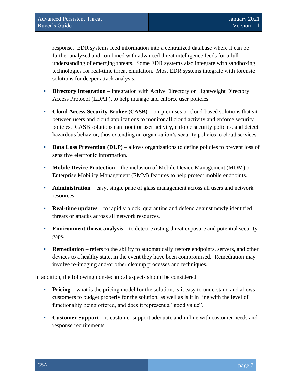response. EDR systems feed information into a centralized database where it can be further analyzed and combined with advanced threat intelligence feeds for a full understanding of emerging threats. Some EDR systems also integrate with sandboxing technologies for real-time threat emulation. Most EDR systems integrate with forensic solutions for deeper attack analysis.

- **Directory Integration** integration with Active Directory or Lightweight Directory Access Protocol (LDAP), to help manage and enforce user policies.
- **Cloud Access Security Broker (CASB)** on-premises or cloud-based solutions that sit between users and cloud applications to monitor all cloud activity and enforce security policies. CASB solutions can monitor user activity, enforce security policies, and detect hazardous behavior, thus extending an organization's security policies to cloud services.
- **Data Loss Prevention (DLP)** allows organizations to define policies to prevent loss of sensitive electronic information.
- **Mobile Device Protection** the inclusion of Mobile Device Management (MDM) or Enterprise Mobility Management (EMM) features to help protect mobile endpoints.
- **Administration** easy, single pane of glass management across all users and network resources.
- **Real-time updates** to rapidly block, quarantine and defend against newly identified threats or attacks across all network resources.
- **Environment threat analysis** to detect existing threat exposure and potential security gaps.
- **Remediation** refers to the ability to automatically restore endpoints, servers, and other devices to a healthy state, in the event they have been compromised. Remediation may involve re-imaging and/or other cleanup processes and techniques.

In addition, the following non-technical aspects should be considered

- **Pricing** what is the pricing model for the solution, is it easy to understand and allows customers to budget properly for the solution, as well as is it in line with the level of functionality being offered, and does it represent a "good value".
- **Customer Support** is customer support adequate and in line with customer needs and response requirements.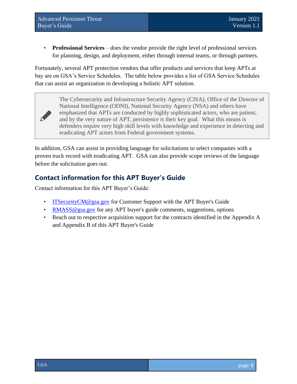**Professional Services** – does the vendor provide the right level of professional services for planning, design, and deployment, either through internal teams, or through partners.

Fortunately, several APT protection vendors that offer products and services that keep APTs at bay are on GSA's Service Schedules. The table below provides a list of GSA Service Schedules that can assist an organization in developing a holistic APT solution.

> The Cybersecurity and Infrastructure Security Agency (CISA), Office of the Director of National Intelligence (ODNI), National Security Agency (NSA) and others have emphasized that APTs are conducted by highly sophisticated actors, who are patient, and by the very nature of APT, persistence is their key goal. What this means is defenders require very high skill levels with knowledge and experience in detecting and eradicating APT actors from Federal government systems.

In addition, GSA can assist in providing language for solicitations to select companies with a proven track record with eradicating APT. GSA can also provide scope reviews of the language before the solicitation goes out.

# **Contact information for this APT Buyer's Guide**

Contact information for this APT Buyer's Guide:

- **[ITSecurityCM@gsa.gov](mailto:ITSecurityCM@gsa.gov) for Customer Support with the APT Buyer's Guide**
- [RMASS@gsa.gov](mailto:RMASS@gsa.gov) for any APT buyer's guide comments, suggestions, options
- Reach out to respective acquisition support for the contracts identified in the Appendix A and Appendix B of this APT Buyer's Guide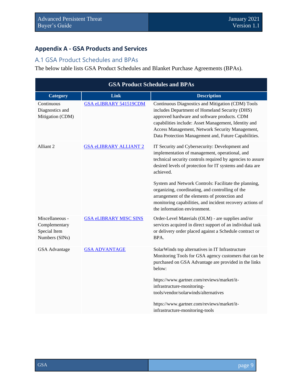# **Appendix A - GSA Products and Services**

## A.1 GSA Product Schedules and BPAs

The below table lists GSA Product Schedules and Blanket Purchase Agreements (BPAs).

| <b>GSA Product Schedules and BPAs</b> |                                                                                                                                                                                                                                                                                                                                                                                                                                                                                                    |  |
|---------------------------------------|----------------------------------------------------------------------------------------------------------------------------------------------------------------------------------------------------------------------------------------------------------------------------------------------------------------------------------------------------------------------------------------------------------------------------------------------------------------------------------------------------|--|
| Link                                  | <b>Description</b>                                                                                                                                                                                                                                                                                                                                                                                                                                                                                 |  |
| GSA eLIBRARY 541519CDM                | Continuous Diagnostics and Mitigation (CDM) Tools<br>includes Department of Homeland Security (DHS)<br>approved hardware and software products. CDM<br>capabilities include: Asset Management, Identity and<br>Access Management, Network Security Management,<br>Data Protection Management and, Future Capabilities.                                                                                                                                                                             |  |
| <b>GSA eLIBRARY ALLIANT 2</b>         | IT Security and Cybersecurity: Development and<br>implementation of management, operational, and<br>technical security controls required by agencies to assure<br>desired levels of protection for IT systems and data are<br>achieved.<br>System and Network Controls: Facilitate the planning,<br>organizing, coordinating, and controlling of the<br>arrangement of the elements of protection and<br>monitoring capabilities, and incident recovery actions of<br>the information environment. |  |
| <b>GSA eLIBRARY MISC SINS</b>         | Order-Level Materials (OLM) - are supplies and/or<br>services acquired in direct support of an individual task<br>or delivery order placed against a Schedule contract or<br>BPA.                                                                                                                                                                                                                                                                                                                  |  |
| <b>GSA ADVANTAGE</b>                  | SolarWinds top alternatives in IT Infrastructure<br>Monitoring Tools for GSA agency customers that can be<br>purchased on GSA Advantage are provided in the links<br>below:<br>https://www.gartner.com/reviews/market/it-<br>infrastructure-monitoring-<br>tools/vendor/solarwinds/alternatives<br>https://www.gartner.com/reviews/market/it-<br>infrastructure-monitoring-tools                                                                                                                   |  |
|                                       |                                                                                                                                                                                                                                                                                                                                                                                                                                                                                                    |  |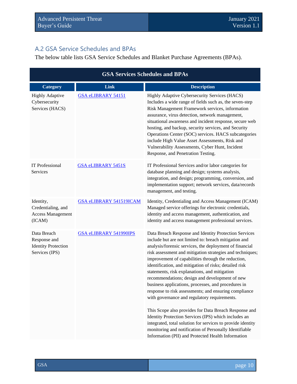# A.2 GSA Service Schedules and BPAs

The below table lists GSA Service Schedules and Blanket Purchase Agreements (BPAs).

| <b>GSA Services Schedules and BPAs</b>                                      |                               |                                                                                                                                                                                                                                                                                                                                                                                                                                                                                                                                                                                                                                                                                                                                                                                                                                                                                                                           |
|-----------------------------------------------------------------------------|-------------------------------|---------------------------------------------------------------------------------------------------------------------------------------------------------------------------------------------------------------------------------------------------------------------------------------------------------------------------------------------------------------------------------------------------------------------------------------------------------------------------------------------------------------------------------------------------------------------------------------------------------------------------------------------------------------------------------------------------------------------------------------------------------------------------------------------------------------------------------------------------------------------------------------------------------------------------|
| <b>Category</b>                                                             | Link                          | <b>Description</b>                                                                                                                                                                                                                                                                                                                                                                                                                                                                                                                                                                                                                                                                                                                                                                                                                                                                                                        |
| <b>Highly Adaptive</b><br>Cybersecurity<br>Services (HACS)                  | <b>GSA eLIBRARY 54151</b>     | Highly Adaptive Cybersecurity Services (HACS)<br>Includes a wide range of fields such as, the seven-step<br>Risk Management Framework services, information<br>assurance, virus detection, network management,<br>situational awareness and incident response, secure web<br>hosting, and backup, security services, and Security<br>Operations Center (SOC) services. HACS subcategories<br>include High Value Asset Assessments, Risk and<br>Vulnerability Assessments, Cyber Hunt, Incident<br>Response, and Penetration Testing.                                                                                                                                                                                                                                                                                                                                                                                      |
| IT Professional<br>Services                                                 | <b>GSA eLIBRARY 5451S</b>     | IT Professional Services and/or labor categories for<br>database planning and design; systems analysis,<br>integration, and design; programming, conversion, and<br>implementation support; network services, data/records<br>management, and testing.                                                                                                                                                                                                                                                                                                                                                                                                                                                                                                                                                                                                                                                                    |
| Identity,<br>Credentialing, and<br><b>Access Management</b><br>(ICAM)       | GSA eLIBRARY 541519ICAM       | Identity, Credentialing and Access Management (ICAM)<br>Managed service offerings for electronic credentials,<br>identity and access management, authentication, and<br>identity and access management professional services.                                                                                                                                                                                                                                                                                                                                                                                                                                                                                                                                                                                                                                                                                             |
| Data Breach<br>Response and<br><b>Identity Protection</b><br>Services (IPS) | <b>GSA eLIBRARY 541990IPS</b> | Data Breach Response and Identity Protection Services<br>include but are not limited to: breach mitigation and<br>analysis/forensic services, the deployment of financial<br>risk assessment and mitigation strategies and techniques;<br>improvement of capabilities through the reduction,<br>identification, and mitigation of risks; detailed risk<br>statements, risk explanations, and mitigation<br>recommendations; design and development of new<br>business applications, processes, and procedures in<br>response to risk assessments; and ensuring compliance<br>with governance and regulatory requirements.<br>This Scope also provides for Data Breach Response and<br>Identity Protection Services (IPS) which includes an<br>integrated, total solution for services to provide identity<br>monitoring and notification of Personally Identifiable<br>Information (PII) and Protected Health Information |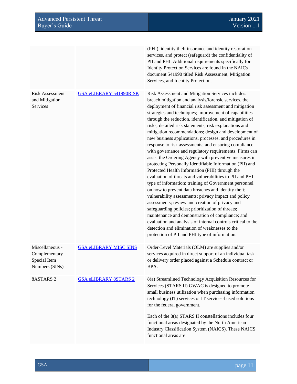|                                                                    |                                | (PHI), identity theft insurance and identity restoration<br>services, and protect (safeguard) the confidentiality of<br>PII and PHI. Additional requirements specifically for<br>Identity Protection Services are found in the NAICs<br>document 541990 titled Risk Assessment, Mitigation<br>Services, and Identity Protection.                                                                                                                                                                                                                                                                                                                                                                                                                                                                                                                                                                                                                                                                                                                                                                                                                                                                                                                                                                                                        |
|--------------------------------------------------------------------|--------------------------------|-----------------------------------------------------------------------------------------------------------------------------------------------------------------------------------------------------------------------------------------------------------------------------------------------------------------------------------------------------------------------------------------------------------------------------------------------------------------------------------------------------------------------------------------------------------------------------------------------------------------------------------------------------------------------------------------------------------------------------------------------------------------------------------------------------------------------------------------------------------------------------------------------------------------------------------------------------------------------------------------------------------------------------------------------------------------------------------------------------------------------------------------------------------------------------------------------------------------------------------------------------------------------------------------------------------------------------------------|
| <b>Risk Assessment</b><br>and Mitigation<br>Services               | <b>GSA eLIBRARY 541990RISK</b> | Risk Assessment and Mitigation Services includes:<br>breach mitigation and analysis/forensic services, the<br>deployment of financial risk assessment and mitigation<br>strategies and techniques; improvement of capabilities<br>through the reduction, identification, and mitigation of<br>risks; detailed risk statements, risk explanations and<br>mitigation recommendations; design and development of<br>new business applications, processes, and procedures in<br>response to risk assessments; and ensuring compliance<br>with governance and regulatory requirements. Firms can<br>assist the Ordering Agency with preventive measures in<br>protecting Personally Identifiable Information (PII) and<br>Protected Health Information (PHI) through the<br>evaluation of threats and vulnerabilities to PII and PHI<br>type of information; training of Government personnel<br>on how to prevent data breaches and identity theft;<br>vulnerability assessments; privacy impact and policy<br>assessments; review and creation of privacy and<br>safeguarding policies; prioritization of threats;<br>maintenance and demonstration of compliance; and<br>evaluation and analysis of internal controls critical to the<br>detection and elimination of weaknesses to the<br>protection of PII and PHI type of information. |
| Miscellaneous -<br>Complementary<br>Special Item<br>Numbers (SINs) | <b>GSA eLIBRARY MISC SINS</b>  | Order-Level Materials (OLM) are supplies and/or<br>services acquired in direct support of an individual task<br>or delivery order placed against a Schedule contract or<br>BPA.                                                                                                                                                                                                                                                                                                                                                                                                                                                                                                                                                                                                                                                                                                                                                                                                                                                                                                                                                                                                                                                                                                                                                         |
| 8ASTARS <sub>2</sub>                                               | <b>GSA eLIBRARY 8STARS 2</b>   | 8(a) Streamlined Technology Acquisition Resources for<br>Services (STARS II) GWAC is designed to promote<br>small business utilization when purchasing information<br>technology (IT) services or IT services-based solutions<br>for the federal government.                                                                                                                                                                                                                                                                                                                                                                                                                                                                                                                                                                                                                                                                                                                                                                                                                                                                                                                                                                                                                                                                            |
|                                                                    |                                | Each of the 8(a) STARS II constellations includes four<br>functional areas designated by the North American<br>Industry Classification System (NAICS). These NAICS<br>functional areas are:                                                                                                                                                                                                                                                                                                                                                                                                                                                                                                                                                                                                                                                                                                                                                                                                                                                                                                                                                                                                                                                                                                                                             |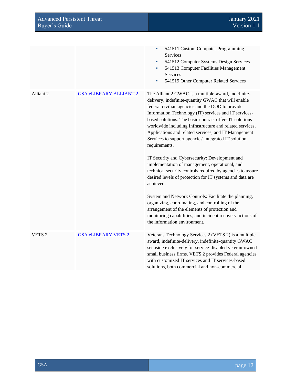| <b>Advanced Persistent Threat</b><br>Buyer's Guide |                               | January 2021<br>Version 1.1                                                                                                                                                                                                                                                                                                                                                                                                                                                     |
|----------------------------------------------------|-------------------------------|---------------------------------------------------------------------------------------------------------------------------------------------------------------------------------------------------------------------------------------------------------------------------------------------------------------------------------------------------------------------------------------------------------------------------------------------------------------------------------|
|                                                    |                               |                                                                                                                                                                                                                                                                                                                                                                                                                                                                                 |
|                                                    |                               | 541511 Custom Computer Programming<br><b>Services</b><br>541512 Computer Systems Design Services<br>٠<br>541513 Computer Facilities Management<br>Services<br>541519 Other Computer Related Services<br>٠                                                                                                                                                                                                                                                                       |
| Alliant 2                                          | <b>GSA eLIBRARY ALLIANT 2</b> | The Alliant 2 GWAC is a multiple-award, indefinite-<br>delivery, indefinite-quantity GWAC that will enable<br>federal civilian agencies and the DOD to provide<br>Information Technology (IT) services and IT services-<br>based solutions. The basic contract offers IT solutions<br>worldwide including Infrastructure and related services,<br>Applications and related services, and IT Management<br>Services to support agencies' integrated IT solution<br>requirements. |
|                                                    |                               | IT Security and Cybersecurity: Development and<br>implementation of management, operational, and<br>technical security controls required by agencies to assure<br>desired levels of protection for IT systems and data are<br>achieved.                                                                                                                                                                                                                                         |
|                                                    |                               | System and Network Controls: Facilitate the planning,<br>organizing, coordinating, and controlling of the<br>arrangement of the elements of protection and<br>monitoring capabilities, and incident recovery actions of<br>the information environment.                                                                                                                                                                                                                         |
| VETS <sub>2</sub>                                  | <b>GSA eLIBRARY VETS 2</b>    | Veterans Technology Services 2 (VETS 2) is a multiple<br>award, indefinite-delivery, indefinite-quantity GWAC<br>set aside exclusively for service-disabled veteran-owned<br>small business firms. VETS 2 provides Federal agencies<br>with customized IT services and IT services-based<br>solutions, both commercial and non-commercial.                                                                                                                                      |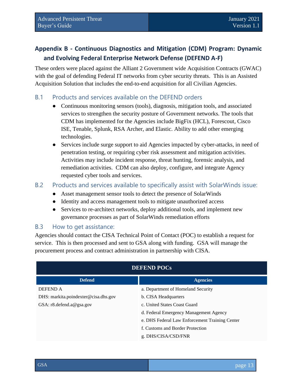# **Appendix B - Continuous Diagnostics and Mitigation (CDM) Program: Dynamic and Evolving Federal Enterprise Network Defense (DEFEND A-F)**

These orders were placed against the Alliant 2 Government wide Acquisition Contracts (GWAC) with the goal of defending Federal IT networks from cyber security threats. This is an Assisted Acquisition Solution that includes the end-to-end acquisition for all Civilian Agencies.

#### B.1 Products and services available on the DEFEND orders

- Continuous monitoring sensors (tools), diagnosis, mitigation tools, and associated services to strengthen the security posture of Government networks. The tools that CDM has implemented for the Agencies include BigFix (HCL), Forescout, Cisco ISE, Tenable, Splunk, RSA Archer, and Elastic. Ability to add other emerging technologies.
- Services include surge support to aid Agencies impacted by cyber-attacks, in need of penetration testing, or requiring cyber risk assessment and mitigation activities. Activities may include incident response, threat hunting, forensic analysis, and remediation activities. CDM can also deploy, configure, and integrate Agency requested cyber tools and services.

#### B.2 Products and services available to specifically assist with SolarWinds issue:

- Asset management sensor tools to detect the presence of SolarWinds
- Identity and access management tools to mitigate unauthorized access
- Services to re-architect networks, deploy additional tools, and implement new governance processes as part of SolarWinds remediation efforts

#### B.3 How to get assistance:

Agencies should contact the CISA Technical Point of Contact (POC) to establish a request for service. This is then processed and sent to GSA along with funding. GSA will manage the procurement process and contract administration in partnership with CISA.

| <b>DEFEND POCS</b>                   |                                                |  |
|--------------------------------------|------------------------------------------------|--|
| <b>Defend</b>                        | <b>Agencies</b>                                |  |
| DEFEND A                             | a. Department of Homeland Security             |  |
| DHS: markita.poindexter@cisa.dhs.gov | b. CISA Headquarters                           |  |
| GSA: $r8$ .defend.a@gsa.gov          | c. United States Coast Guard                   |  |
|                                      | d. Federal Emergency Management Agency         |  |
|                                      | e. DHS Federal Law Enforcement Training Center |  |
|                                      | f. Customs and Border Protection               |  |
|                                      | g. DHS/CISA/CSD/FNR                            |  |

#### GSA page 13